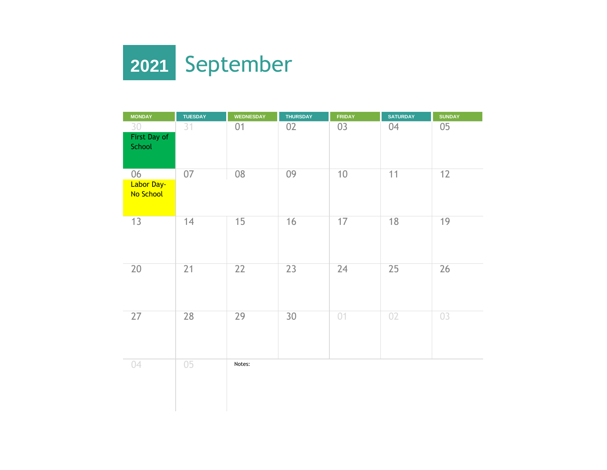

| <b>MONDAY</b>                 | <b>TUESDAY</b> | <b>WEDNESDAY</b> | <b>THURSDAY</b> | <b>FRIDAY</b> | <b>SATURDAY</b> | <b>SUNDAY</b> |
|-------------------------------|----------------|------------------|-----------------|---------------|-----------------|---------------|
| 30<br>First Day of<br>School  | 31             | 01               | 02              | 03            | 04              | 05            |
| 06<br>Labor Day-<br>No School | 07             | 08               | 09              | 10            | 11              | 12            |
| 13                            | 14             | 15               | 16              | 17            | 18              | 19            |
| 20                            | 21             | 22               | 23              | 24            | 25              | 26            |
| 27                            | 28             | 29               | 30              | 01            | 02              | 03            |
| 04                            | 05             | Notes:           |                 |               |                 |               |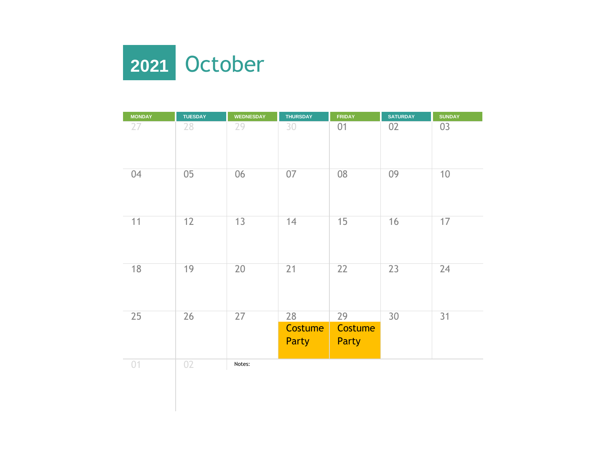

| <b>MONDAY</b> | <b>TUESDAY</b> | <b>WEDNESDAY</b> | <b>THURSDAY</b>                      | <b>FRIDAY</b>                 | <b>SATURDAY</b> | <b>SUNDAY</b> |
|---------------|----------------|------------------|--------------------------------------|-------------------------------|-----------------|---------------|
| 27            | 28             | 29               | 30                                   | 01                            | 02              | 03            |
| 04            | 05             | 06               | 07                                   | 08                            | 09              | 10            |
| 11            | 12             | 13               | 14                                   | 15                            | 16              | 17            |
| 18            | 19             | 20               | 21                                   | 22                            | 23              | 24            |
| 25            | 26             | 27               | 28<br><b>Costume</b><br><b>Party</b> | 29<br>Costume<br><b>Party</b> | 30              | 31            |
| 01            | 02             | Notes:           |                                      |                               |                 |               |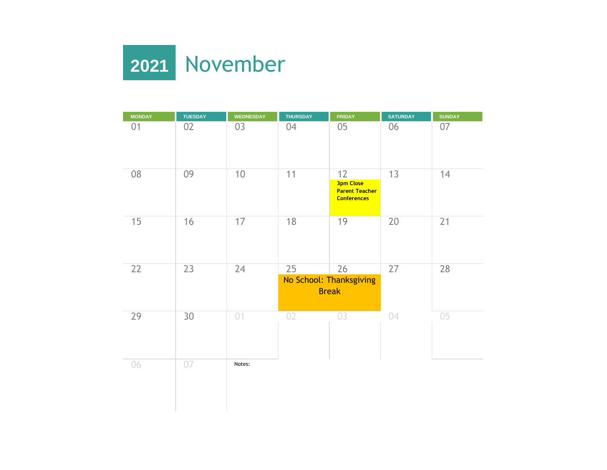

| <b>MONDAY</b> | <b>TUESDAY</b> | <b>WEDNESDAY</b> | <b>THURSDAY</b> | <b>FRIDAY</b>                                                         | <b>SATURDAY</b> | <b>SUNDAY</b> |
|---------------|----------------|------------------|-----------------|-----------------------------------------------------------------------|-----------------|---------------|
| 01            | 02             | 03               | 04              | 05                                                                    | 06              | 07            |
| 08            | 09             | 10               | 11              | 12<br><b>3pm Close</b><br><b>Parent Teacher</b><br><b>Conferences</b> | 13              | 14            |
| 15            | 16             | 17               | 18              | 19                                                                    | 20              | 21            |
| 22            | 23             | $\overline{24}$  | 25              | 26<br>No School: Thanksgiving<br><b>Break</b>                         | 27              | 28            |
| 29            | 30             | 01               | 02              | 03                                                                    | 04              | 05            |
| 06            | 07             | Notes:           |                 |                                                                       |                 |               |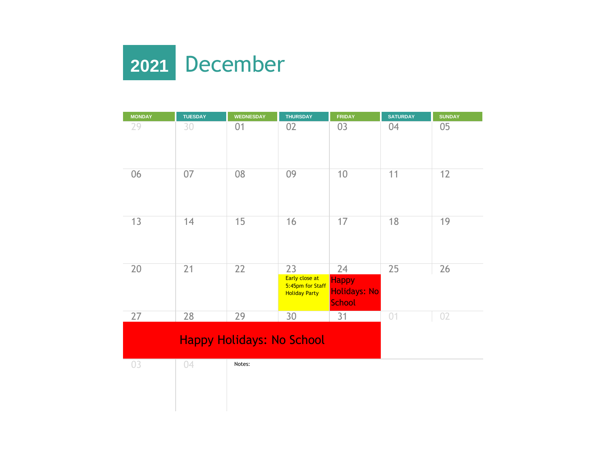

| <b>MONDAY</b> | <b>TUESDAY</b>                   | <b>WEDNESDAY</b> | <b>THURSDAY</b>                                                  | <b>FRIDAY</b>                                              | <b>SATURDAY</b> | <b>SUNDAY</b> |
|---------------|----------------------------------|------------------|------------------------------------------------------------------|------------------------------------------------------------|-----------------|---------------|
| 29            | 30                               | 01               | 02                                                               | 03                                                         | 04              | 05            |
| 06            | 07                               | 08               | 09                                                               | 10                                                         | 11              | 12            |
| 13            | 14                               | 15               | 16                                                               | 17                                                         | 18              | 19            |
| 20            | 21                               | 22               | 23<br>Early close at<br>5:45pm for Staff<br><b>Holiday Party</b> | 24<br><b>Happy</b><br><b>Holidays: No</b><br><b>School</b> | 25              | 26            |
| 27            | 28                               | 29               | 30                                                               | 31                                                         | 01              | 02            |
|               | <b>Happy Holidays: No School</b> |                  |                                                                  |                                                            |                 |               |
| 03            | 04                               | Notes:           |                                                                  |                                                            |                 |               |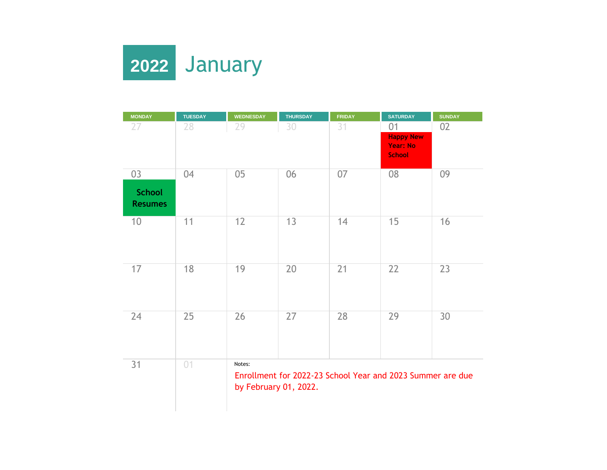

| <b>MONDAY</b>                   | <b>TUESDAY</b> | <b>WEDNESDAY</b>                | <b>THURSDAY</b>                                            | <b>FRIDAY</b> | <b>SATURDAY</b>                                      | <b>SUNDAY</b> |
|---------------------------------|----------------|---------------------------------|------------------------------------------------------------|---------------|------------------------------------------------------|---------------|
| 27                              | 28             | 29                              | 30                                                         | 31            | 01                                                   | 02            |
|                                 |                |                                 |                                                            |               | <b>Happy New</b><br><b>Year: No</b><br><b>School</b> |               |
|                                 |                |                                 |                                                            |               |                                                      |               |
| 03                              | 04             | 05                              | 06                                                         | 07            | 08                                                   | 09            |
| <b>School</b><br><b>Resumes</b> |                |                                 |                                                            |               |                                                      |               |
| 10                              | 11             | 12                              | 13                                                         | 14            | 15                                                   | 16            |
| 17                              | 18             | 19                              | 20                                                         | 21            | 22                                                   | 23            |
| 24                              | 25             | 26                              | 27                                                         | 28            | 29                                                   | 30            |
| 31                              | 01             | Notes:<br>by February 01, 2022. | Enrollment for 2022-23 School Year and 2023 Summer are due |               |                                                      |               |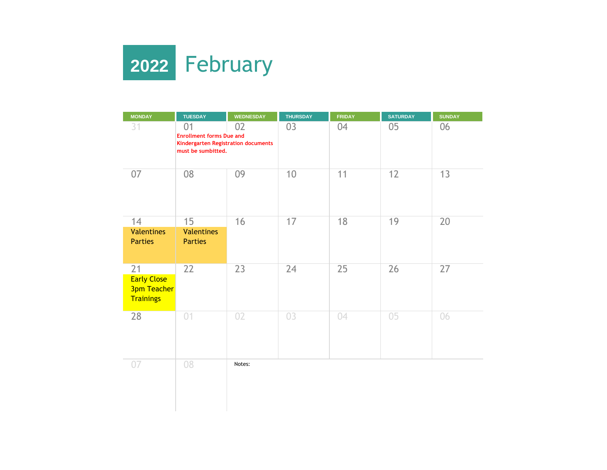

| <b>MONDAY</b>                                                      | <b>TUESDAY</b>                                                                                           | <b>WEDNESDAY</b> | <b>THURSDAY</b> | <b>FRIDAY</b> | <b>SATURDAY</b> | <b>SUNDAY</b> |
|--------------------------------------------------------------------|----------------------------------------------------------------------------------------------------------|------------------|-----------------|---------------|-----------------|---------------|
| 31                                                                 | 01<br>02<br><b>Enrollment forms Due and</b><br>Kindergarten Registration documents<br>must be sumbitted. |                  | 03              | 04            | 05              | 06            |
| 07                                                                 | 08                                                                                                       | 09               | 10              | 11            | 12              | 13            |
| 14                                                                 | 15                                                                                                       | 16               | 17              | 18            | 19              | 20            |
| <b>Valentines</b><br><b>Parties</b>                                | <b>Valentines</b><br><b>Parties</b>                                                                      |                  |                 |               |                 |               |
| 21<br><b>Early Close</b><br><b>3pm Teacher</b><br><b>Trainings</b> | 22                                                                                                       | 23               | 24              | 25            | 26              | 27            |
| 28                                                                 | 01                                                                                                       | 02               | 03              | 04            | 05              | 06            |
| 07                                                                 | 08                                                                                                       | Notes:           |                 |               |                 |               |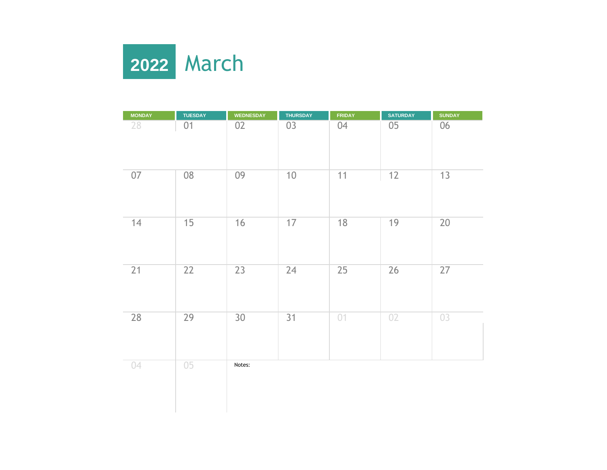

| <b>MONDAY</b> | <b>TUESDAY</b> | <b>WEDNESDAY</b> | <b>THURSDAY</b> | <b>FRIDAY</b> | <b>SATURDAY</b> | <b>SUNDAY</b> |
|---------------|----------------|------------------|-----------------|---------------|-----------------|---------------|
| 28            | 01             | 02               | 03              | 04            | $05\,$          | 06            |
| $07$          | 08             | 09               | 10              | 11            | 12              | 13            |
| 14            | 15             | $16$             | 17              | 18            | 19              | 20            |
| 21            | 22             | 23               | 24              | 25            | 26              | 27            |
| 28            | 29             | 30               | 31              | 01            | 02              | 03            |
| 04            | 05             | Notes:           |                 |               |                 |               |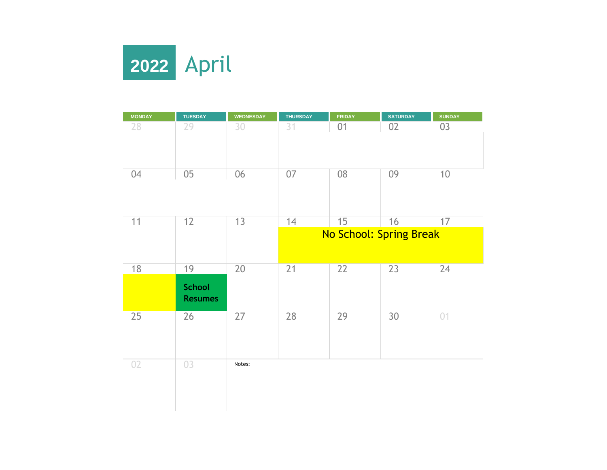

| <b>MONDAY</b> | <b>TUESDAY</b>                        | <b>WEDNESDAY</b> | <b>THURSDAY</b> | <b>FRIDAY</b> | <b>SATURDAY</b>         | <b>SUNDAY</b> |
|---------------|---------------------------------------|------------------|-----------------|---------------|-------------------------|---------------|
| 28            | 29                                    | 30               | 31              | 01            | 02                      | 03            |
| 04            | $05\,$                                | 06               | 07              | 08            | 09                      | 10            |
| 11            | 12                                    | 13               | 14              | 15            | 16                      | 17            |
|               |                                       |                  |                 |               | No School: Spring Break |               |
| 18            | 19<br><b>School</b><br><b>Resumes</b> | 20               | 21              | 22            | 23                      | 24            |
| 25            | 26                                    | 27               | 28              | 29            | 30                      | 01            |
| 02            | 03                                    | Notes:           |                 |               |                         |               |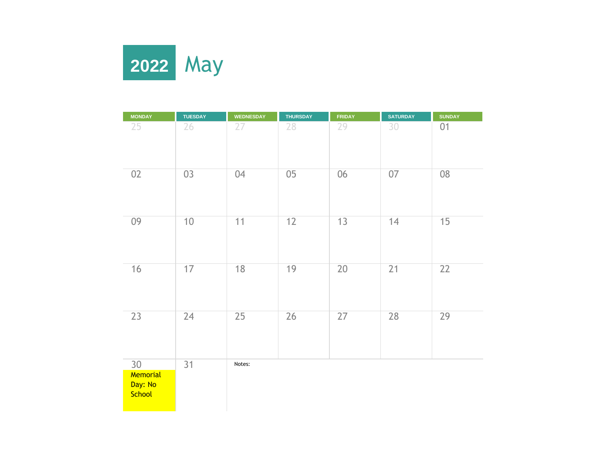

| <b>MONDAY</b>                       | <b>TUESDAY</b> | <b>WEDNESDAY</b> | <b>THURSDAY</b> | <b>FRIDAY</b> | <b>SATURDAY</b> | <b>SUNDAY</b>   |
|-------------------------------------|----------------|------------------|-----------------|---------------|-----------------|-----------------|
| 25                                  | 26             | 27               | 28              | 29            | 30              | 01              |
| 02                                  | 03             | 04               | 05              | 06            | 07              | 08              |
| 09                                  | 10             | 11               | 12              | 13            | 14              | 15              |
| 16                                  | 17             | 18               | 19              | 20            | 21              | $\overline{22}$ |
| 23                                  | 24             | 25               | 26              | 27            | 28              | 29              |
| 30<br>Memorial<br>Day: No<br>School | 31             | Notes:           |                 |               |                 |                 |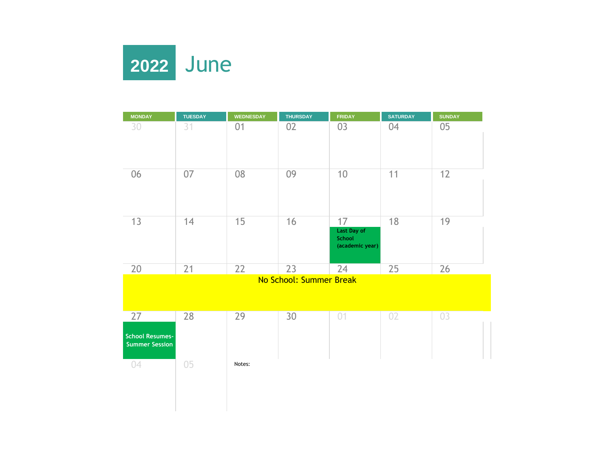

| <b>MONDAY</b>                                         | <b>TUESDAY</b> | <b>WEDNESDAY</b> | <b>THURSDAY</b>         | <b>FRIDAY</b>                                  | <b>SATURDAY</b> | <b>SUNDAY</b> |
|-------------------------------------------------------|----------------|------------------|-------------------------|------------------------------------------------|-----------------|---------------|
| 30                                                    | 31             | 01               | 02                      | 03                                             | 04              | 05            |
| 06                                                    | 07             | 08               | 09                      | 10                                             | 11              | 12            |
| 13                                                    | 14             | 15               | 16                      | 17<br>Last Day of<br>School<br>(academic year) | 18              | 19            |
| 20                                                    | 21             | 22               | 23                      | 24                                             | 25              | 26            |
|                                                       |                |                  | No School: Summer Break |                                                |                 |               |
| 27<br><b>School Resumes-</b><br><b>Summer Session</b> | 28             | 29               | 30                      | 01                                             | 02              | 03            |
| 04                                                    | 05             | Notes:           |                         |                                                |                 |               |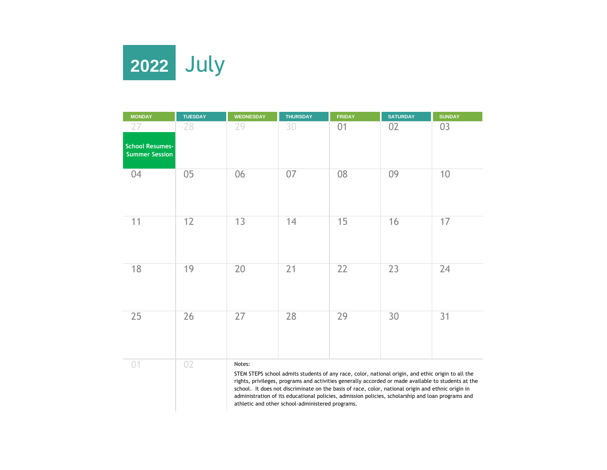

| <b>MONDAY</b>                                   | <b>TUESDAY</b> | <b>WEDNESDAY</b> | <b>THURSDAY</b> | <b>FRIDAY</b>                                                                                                                                                                                                                                                                                                   | <b>SATURDAY</b> | <b>SUNDAY</b> |
|-------------------------------------------------|----------------|------------------|-----------------|-----------------------------------------------------------------------------------------------------------------------------------------------------------------------------------------------------------------------------------------------------------------------------------------------------------------|-----------------|---------------|
| 27                                              | 28             | 29               | 30              | 01                                                                                                                                                                                                                                                                                                              | 02              | 03            |
| <b>School Resumes-</b><br><b>Summer Session</b> |                |                  |                 |                                                                                                                                                                                                                                                                                                                 |                 |               |
| 04                                              | 05             | 06               | 07              | 08                                                                                                                                                                                                                                                                                                              | 09              | 10            |
| 11                                              | 12             | 13               | 14              | 15                                                                                                                                                                                                                                                                                                              | 16              | 17            |
| 18                                              | 19             | 20               | 21              | 22                                                                                                                                                                                                                                                                                                              | 23              | 24            |
| 25                                              | 26             | 27               | 28              | 29                                                                                                                                                                                                                                                                                                              | 30              | 31            |
| 01                                              | 02             | Notes:           |                 | STEM STEPS school admits students of any race, color, national origin, and ethic origin to all the<br>rights, privileges, programs and activities generally accorded or made available to students at the<br>school. It does not discriminate on the basis of race, color, national origin and ethnic origin in |                 |               |

administration of its educational policies, admission policies, scholarship and loan programs and athletic and other school-administered programs.